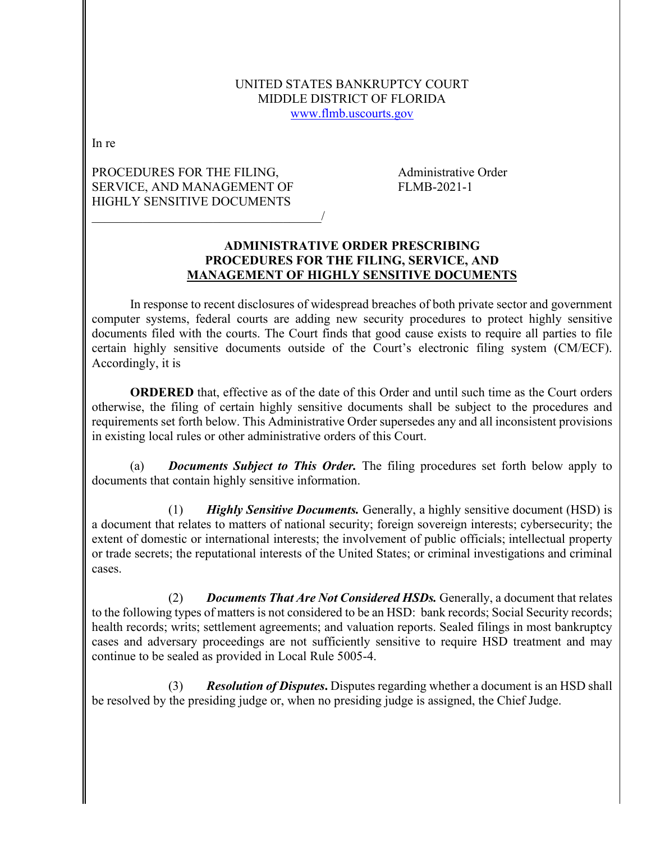#### UNITED STATES BANKRUPTCY COURT MIDDLE DISTRICT OF FLORIDA [www.flmb.uscourts.gov](http://www.flmb.uscourts.gov/)

In re

# PROCEDURES FOR THE FILING, Administrative Order SERVICE, AND MANAGEMENT OF FLMB-2021-1 HIGHLY SENSITIVE DOCUMENTS

\_\_\_\_\_\_\_\_\_\_\_\_\_\_\_\_\_\_\_\_\_\_\_\_\_\_\_\_\_\_\_\_\_\_\_\_/

#### **ADMINISTRATIVE ORDER PRESCRIBING PROCEDURES FOR THE FILING, SERVICE, AND MANAGEMENT OF HIGHLY SENSITIVE DOCUMENTS**

In response to recent disclosures of widespread breaches of both private sector and government computer systems, federal courts are adding new security procedures to protect highly sensitive documents filed with the courts. The Court finds that good cause exists to require all parties to file certain highly sensitive documents outside of the Court's electronic filing system (CM/ECF). Accordingly, it is

**ORDERED** that, effective as of the date of this Order and until such time as the Court orders otherwise, the filing of certain highly sensitive documents shall be subject to the procedures and requirements set forth below. This Administrative Order supersedes any and all inconsistent provisions in existing local rules or other administrative orders of this Court.

(a) *Documents Subject to This Order.* The filing procedures set forth below apply to documents that contain highly sensitive information.

(1) *Highly Sensitive Documents.* Generally, a highly sensitive document (HSD) is a document that relates to matters of national security; foreign sovereign interests; cybersecurity; the extent of domestic or international interests; the involvement of public officials; intellectual property or trade secrets; the reputational interests of the United States; or criminal investigations and criminal cases.

(2) *Documents That Are Not Considered HSDs.* Generally, a document that relates to the following types of matters is not considered to be an HSD: bank records; Social Security records; health records; writs; settlement agreements; and valuation reports. Sealed filings in most bankruptcy cases and adversary proceedings are not sufficiently sensitive to require HSD treatment and may continue to be sealed as provided in Local Rule 5005-4.

(3) *Resolution of Disputes***.** Disputes regarding whether a document is an HSD shall be resolved by the presiding judge or, when no presiding judge is assigned, the Chief Judge.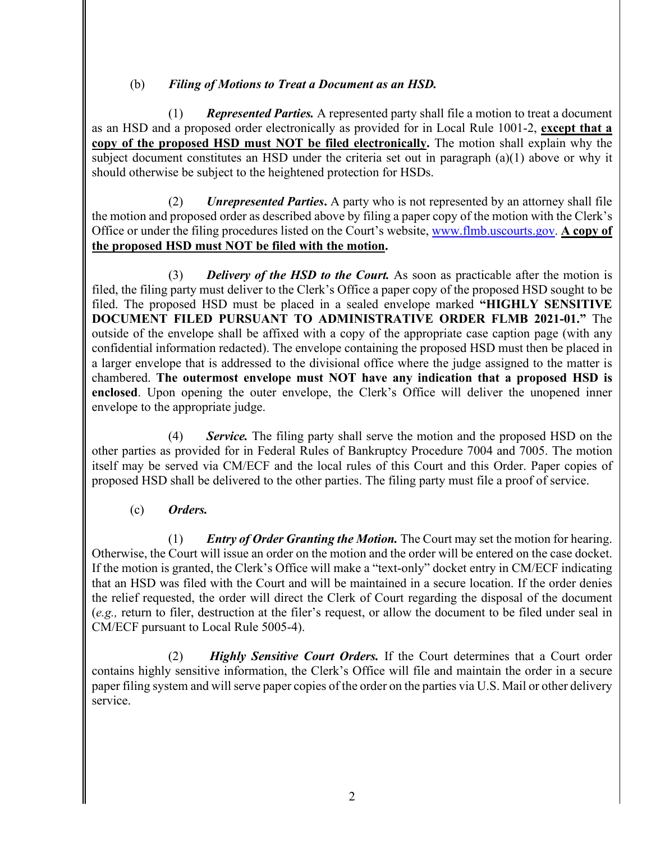# (b) *Filing of Motions to Treat a Document as an HSD.*

(1) *Represented Parties.* A represented party shall file a motion to treat a document as an HSD and a proposed order electronically as provided for in Local Rule 1001-2, **except that a copy of the proposed HSD must NOT be filed electronically.** The motion shall explain why the subject document constitutes an HSD under the criteria set out in paragraph (a)(1) above or why it should otherwise be subject to the heightened protection for HSDs.

(2) *Unrepresented Parties***.** A party who is not represented by an attorney shall file the motion and proposed order as described above by filing a paper copy of the motion with the Clerk's Office or under the filing procedures listed on the Court's website, [www.flmb.uscourts.gov.](http://www.flmb.uscourts.gov/) **A copy of the proposed HSD must NOT be filed with the motion.**

(3) *Delivery of the HSD to the Court.* As soon as practicable after the motion is filed, the filing party must deliver to the Clerk's Office a paper copy of the proposed HSD sought to be filed. The proposed HSD must be placed in a sealed envelope marked **"HIGHLY SENSITIVE DOCUMENT FILED PURSUANT TO ADMINISTRATIVE ORDER FLMB 2021-01."** The outside of the envelope shall be affixed with a copy of the appropriate case caption page (with any confidential information redacted). The envelope containing the proposed HSD must then be placed in a larger envelope that is addressed to the divisional office where the judge assigned to the matter is chambered. **The outermost envelope must NOT have any indication that a proposed HSD is enclosed**. Upon opening the outer envelope, the Clerk's Office will deliver the unopened inner envelope to the appropriate judge.

(4) *Service.* The filing party shall serve the motion and the proposed HSD on the other parties as provided for in Federal Rules of Bankruptcy Procedure 7004 and 7005. The motion itself may be served via CM/ECF and the local rules of this Court and this Order. Paper copies of proposed HSD shall be delivered to the other parties. The filing party must file a proof of service.

# (c) *Orders.*

(1) *Entry of Order Granting the Motion.* The Court may set the motion for hearing. Otherwise, the Court will issue an order on the motion and the order will be entered on the case docket. If the motion is granted, the Clerk's Office will make a "text-only" docket entry in CM/ECF indicating that an HSD was filed with the Court and will be maintained in a secure location. If the order denies the relief requested, the order will direct the Clerk of Court regarding the disposal of the document (*e.g.,* return to filer, destruction at the filer's request, or allow the document to be filed under seal in CM/ECF pursuant to Local Rule 5005-4).

(2) *Highly Sensitive Court Orders.* If the Court determines that a Court order contains highly sensitive information, the Clerk's Office will file and maintain the order in a secure paper filing system and will serve paper copies of the order on the parties via U.S. Mail or other delivery service.